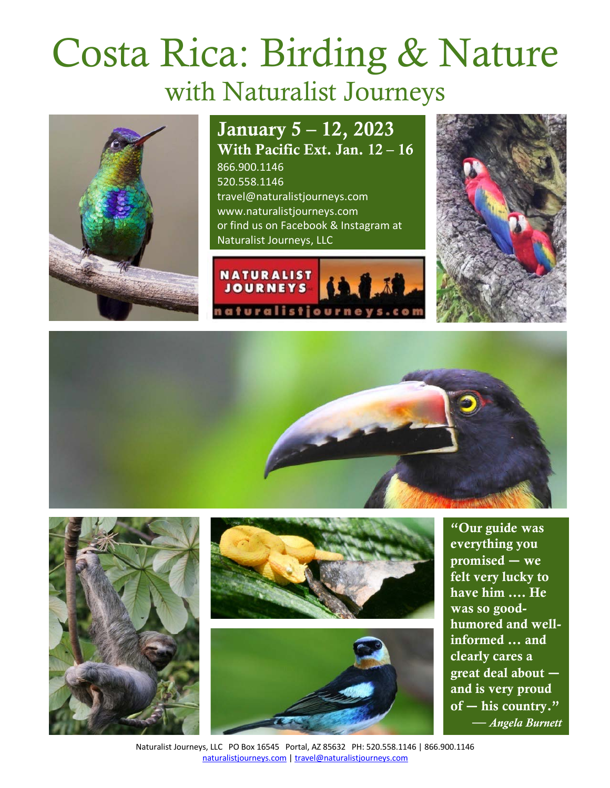# Costa Rica: Birding & Nature with Naturalist Journeys



January 5 – 12, 2023 With Pacific Ext. Jan. 12 – 16 866.900.1146 520.558.1146 travel@naturalistjourneys.com

www.naturalistjourneys.com or find us on Facebook & Instagram at Naturalist Journeys, LLC













"Our guide was everything you promised **―** we felt very lucky to have him …. He was so goodhumored and wellinformed ... and clearly cares a great deal about **―** and is very proud of **―** his country." — *Angela Burnett*

Naturalist Journeys, LLC PO Box 16545 Portal, AZ 85632 PH: 520.558.1146 | 866.900.1146 naturalistjourneys.com | travel@naturalistjourneys.com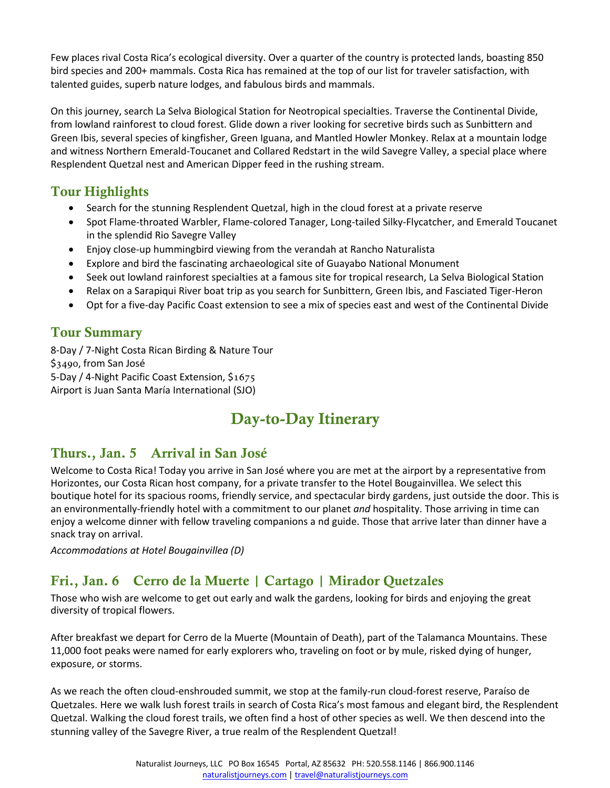Few places rival Costa Rica's ecological diversity. Over a quarter of the country is protected lands, boasting 850 bird species and 200+ mammals. Costa Rica has remained at the top of our list for traveler satisfaction, with talented guides, superb nature lodges, and fabulous birds and mammals.

On this journey, search La Selva Biological Station for Neotropical specialties. Traverse the Continental Divide, from lowland rainforest to cloud forest. Glide down a river looking for secretive birds such as Sunbittern and Green Ibis, several species of kingfisher, Green Iguana, and Mantled Howler Monkey. Relax at a mountain lodge and witness Northern Emerald-Toucanet and Collared Redstart in the wild Savegre Valley, a special place where Resplendent Quetzal nest and American Dipper feed in the rushing stream.

## Tour Highlights

- Search for the stunning Resplendent Quetzal, high in the cloud forest at a private reserve
- Spot Flame-throated Warbler, Flame-colored Tanager, Long-tailed Silky-Flycatcher, and Emerald Toucanet in the splendid Rio Savegre Valley
- Enjoy close-up hummingbird viewing from the verandah at Rancho Naturalista
- Explore and bird the fascinating archaeological site of Guayabo National Monument
- Seek out lowland rainforest specialties at a famous site for tropical research, La Selva Biological Station
- Relax on a Sarapiqui River boat trip as you search for Sunbittern, Green Ibis, and Fasciated Tiger-Heron
- Opt for a five-day Pacific Coast extension to see a mix of species east and west of the Continental Divide

## Tour Summary

8-Day / 7-Night Costa Rican Birding & Nature Tour \$3490, from San José 5-Day / 4-Night Pacific Coast Extension, \$1675 Airport is Juan Santa María International (SJO)

# Day-to-Day Itinerary

#### Thurs., Jan. 5 Arrival in San José

Welcome to Costa Rica! Today you arrive in San José where you are met at the airport by a representative from Horizontes, our Costa Rican host company, for a private transfer to the Hotel Bougainvillea. We select this boutique hotel for its spacious rooms, friendly service, and spectacular birdy gardens, just outside the door. This is an environmentally-friendly hotel with a commitment to our planet *and* hospitality. Those arriving in time can enjoy a welcome dinner with fellow traveling companions a nd guide. Those that arrive later than dinner have a snack tray on arrival.

*Accommodations at Hotel Bougainvillea (D)*

# Fri., Jan. 6 Cerro de la Muerte | Cartago | Mirador Quetzales

Those who wish are welcome to get out early and walk the gardens, looking for birds and enjoying the great diversity of tropical flowers.

After breakfast we depart for Cerro de la Muerte (Mountain of Death), part of the Talamanca Mountains. These 11,000 foot peaks were named for early explorers who, traveling on foot or by mule, risked dying of hunger, exposure, or storms.

As we reach the often cloud-enshrouded summit, we stop at the family-run cloud-forest reserve, Paraíso de Quetzales. Here we walk lush forest trails in search of Costa Rica's most famous and elegant bird, the Resplendent Quetzal. Walking the cloud forest trails, we often find a host of other species as well. We then descend into the stunning valley of the Savegre River, a true realm of the Resplendent Quetzal!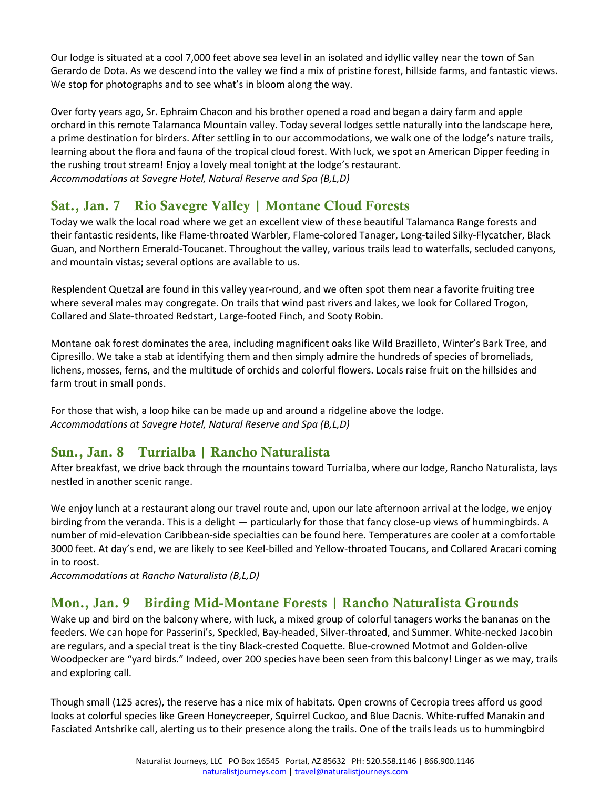Our lodge is situated at a cool 7,000 feet above sea level in an isolated and idyllic valley near the town of San Gerardo de Dota. As we descend into the valley we find a mix of pristine forest, hillside farms, and fantastic views. We stop for photographs and to see what's in bloom along the way.

Over forty years ago, Sr. Ephraim Chacon and his brother opened a road and began a dairy farm and apple orchard in this remote Talamanca Mountain valley. Today several lodges settle naturally into the landscape here, a prime destination for birders. After settling in to our accommodations, we walk one of the lodge's nature trails, learning about the flora and fauna of the tropical cloud forest. With luck, we spot an American Dipper feeding in the rushing trout stream! Enjoy a lovely meal tonight at the lodge's restaurant. *Accommodations at Savegre Hotel, Natural Reserve and Spa (B,L,D)* 

## Sat., Jan. 7 Rio Savegre Valley | Montane Cloud Forests

Today we walk the local road where we get an excellent view of these beautiful Talamanca Range forests and their fantastic residents, like Flame-throated Warbler, Flame-colored Tanager, Long-tailed Silky-Flycatcher, Black Guan, and Northern Emerald-Toucanet. Throughout the valley, various trails lead to waterfalls, secluded canyons, and mountain vistas; several options are available to us.

Resplendent Quetzal are found in this valley year-round, and we often spot them near a favorite fruiting tree where several males may congregate. On trails that wind past rivers and lakes, we look for Collared Trogon, Collared and Slate-throated Redstart, Large-footed Finch, and Sooty Robin.

Montane oak forest dominates the area, including magnificent oaks like Wild Brazilleto, Winter's Bark Tree, and Cipresillo. We take a stab at identifying them and then simply admire the hundreds of species of bromeliads, lichens, mosses, ferns, and the multitude of orchids and colorful flowers. Locals raise fruit on the hillsides and farm trout in small ponds.

For those that wish, a loop hike can be made up and around a ridgeline above the lodge. *Accommodations at Savegre Hotel, Natural Reserve and Spa (B,L,D)*

#### Sun., Jan. 8 Turrialba | Rancho Naturalista

After breakfast, we drive back through the mountains toward Turrialba, where our lodge, Rancho Naturalista, lays nestled in another scenic range.

We enjoy lunch at a restaurant along our travel route and, upon our late afternoon arrival at the lodge, we enjoy birding from the veranda. This is a delight ― particularly for those that fancy close-up views of hummingbirds. A number of mid-elevation Caribbean-side specialties can be found here. Temperatures are cooler at a comfortable 3000 feet. At day's end, we are likely to see Keel-billed and Yellow-throated Toucans, and Collared Aracari coming in to roost.

*Accommodations at Rancho Naturalista (B,L,D)* 

#### Mon., Jan. 9 Birding Mid-Montane Forests | Rancho Naturalista Grounds

Wake up and bird on the balcony where, with luck, a mixed group of colorful tanagers works the bananas on the feeders. We can hope for Passerini's, Speckled, Bay-headed, Silver-throated, and Summer. White-necked Jacobin are regulars, and a special treat is the tiny Black-crested Coquette. Blue-crowned Motmot and Golden-olive Woodpecker are "yard birds." Indeed, over 200 species have been seen from this balcony! Linger as we may, trails and exploring call.

Though small (125 acres), the reserve has a nice mix of habitats. Open crowns of Cecropia trees afford us good looks at colorful species like Green Honeycreeper, Squirrel Cuckoo, and Blue Dacnis. White-ruffed Manakin and Fasciated Antshrike call, alerting us to their presence along the trails. One of the trails leads us to hummingbird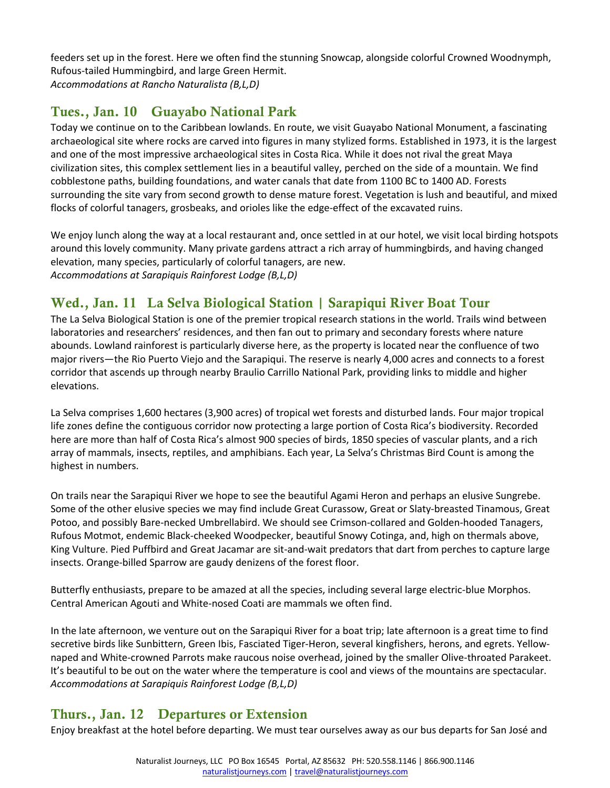feeders set up in the forest. Here we often find the stunning Snowcap, alongside colorful Crowned Woodnymph, Rufous-tailed Hummingbird, and large Green Hermit. *Accommodations at Rancho Naturalista (B,L,D)*

# Tues., Jan. 10 Guayabo National Park

Today we continue on to the Caribbean lowlands. En route, we visit Guayabo National Monument, a fascinating archaeological site where rocks are carved into figures in many stylized forms. Established in 1973, it is the largest and one of the most impressive archaeological sites in Costa Rica. While it does not rival the great Maya civilization sites, this complex settlement lies in a beautiful valley, perched on the side of a mountain. We find cobblestone paths, building foundations, and water canals that date from 1100 BC to 1400 AD. Forests surrounding the site vary from second growth to dense mature forest. Vegetation is lush and beautiful, and mixed flocks of colorful tanagers, grosbeaks, and orioles like the edge-effect of the excavated ruins.

We enjoy lunch along the way at a local restaurant and, once settled in at our hotel, we visit local birding hotspots around this lovely community. Many private gardens attract a rich array of hummingbirds, and having changed elevation, many species, particularly of colorful tanagers, are new. *Accommodations at Sarapiquis Rainforest Lodge (B,L,D)* 

# Wed., Jan. 11 La Selva Biological Station | Sarapiqui River Boat Tour

The La Selva Biological Station is one of the premier tropical research stations in the world. Trails wind between laboratories and researchers' residences, and then fan out to primary and secondary forests where nature abounds. Lowland rainforest is particularly diverse here, as the property is located near the confluence of two major rivers—the Rio Puerto Viejo and the Sarapiqui. The reserve is nearly 4,000 acres and connects to a forest corridor that ascends up through nearby Braulio Carrillo National Park, providing links to middle and higher elevations.

La Selva comprises 1,600 hectares (3,900 acres) of tropical wet forests and disturbed lands. Four major tropical life zones define the contiguous corridor now protecting a large portion of Costa Rica's biodiversity. Recorded here are more than half of Costa Rica's almost 900 species of birds, 1850 species of vascular plants, and a rich array of mammals, insects, reptiles, and amphibians. Each year, La Selva's Christmas Bird Count is among the highest in numbers.

On trails near the Sarapiqui River we hope to see the beautiful Agami Heron and perhaps an elusive Sungrebe. Some of the other elusive species we may find include Great Curassow, Great or Slaty-breasted Tinamous, Great Potoo, and possibly Bare-necked Umbrellabird. We should see Crimson-collared and Golden-hooded Tanagers, Rufous Motmot, endemic Black-cheeked Woodpecker, beautiful Snowy Cotinga, and, high on thermals above, King Vulture. Pied Puffbird and Great Jacamar are sit-and-wait predators that dart from perches to capture large insects. Orange-billed Sparrow are gaudy denizens of the forest floor.

Butterfly enthusiasts, prepare to be amazed at all the species, including several large electric-blue Morphos. Central American Agouti and White-nosed Coati are mammals we often find.

In the late afternoon, we venture out on the Sarapiqui River for a boat trip; late afternoon is a great time to find secretive birds like Sunbittern, Green Ibis, Fasciated Tiger-Heron, several kingfishers, herons, and egrets. Yellownaped and White-crowned Parrots make raucous noise overhead, joined by the smaller Olive-throated Parakeet. It's beautiful to be out on the water where the temperature is cool and views of the mountains are spectacular. *Accommodations at Sarapiquis Rainforest Lodge (B,L,D)*

# Thurs., Jan. 12 Departures or Extension

Enjoy breakfast at the hotel before departing. We must tear ourselves away as our bus departs for San José and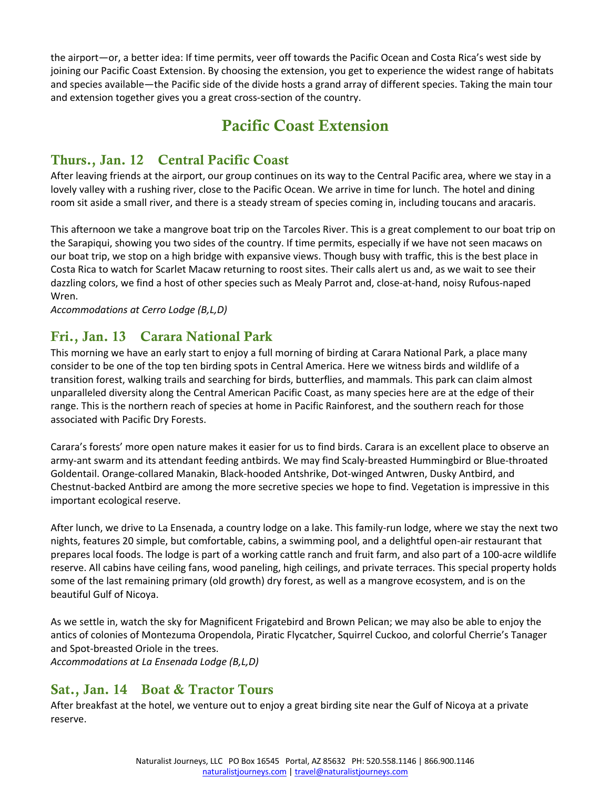the airport―or, a better idea: If time permits, veer off towards the Pacific Ocean and Costa Rica's west side by joining our Pacific Coast Extension. By choosing the extension, you get to experience the widest range of habitats and species available―the Pacific side of the divide hosts a grand array of different species. Taking the main tour and extension together gives you a great cross-section of the country.

# Pacific Coast Extension

#### Thurs., Jan. 12 Central Pacific Coast

After leaving friends at the airport, our group continues on its way to the Central Pacific area, where we stay in a lovely valley with a rushing river, close to the Pacific Ocean. We arrive in time for lunch. The hotel and dining room sit aside a small river, and there is a steady stream of species coming in, including toucans and aracaris.

This afternoon we take a mangrove boat trip on the Tarcoles River. This is a great complement to our boat trip on the Sarapiqui, showing you two sides of the country. If time permits, especially if we have not seen macaws on our boat trip, we stop on a high bridge with expansive views. Though busy with traffic, this is the best place in Costa Rica to watch for Scarlet Macaw returning to roost sites. Their calls alert us and, as we wait to see their dazzling colors, we find a host of other species such as Mealy Parrot and, close-at-hand, noisy Rufous-naped Wren.

*Accommodations at Cerro Lodge (B,L,D)* 

#### Fri., Jan. 13 Carara National Park

This morning we have an early start to enjoy a full morning of birding at Carara National Park, a place many consider to be one of the top ten birding spots in Central America. Here we witness birds and wildlife of a transition forest, walking trails and searching for birds, butterflies, and mammals. This park can claim almost unparalleled diversity along the Central American Pacific Coast, as many species here are at the edge of their range. This is the northern reach of species at home in Pacific Rainforest, and the southern reach for those associated with Pacific Dry Forests.

Carara's forests' more open nature makes it easier for us to find birds. Carara is an excellent place to observe an army-ant swarm and its attendant feeding antbirds. We may find Scaly-breasted Hummingbird or Blue-throated Goldentail. Orange-collared Manakin, Black-hooded Antshrike, Dot-winged Antwren, Dusky Antbird, and Chestnut-backed Antbird are among the more secretive species we hope to find. Vegetation is impressive in this important ecological reserve.

After lunch, we drive to La Ensenada, a country lodge on a lake. This family-run lodge, where we stay the next two nights, features 20 simple, but comfortable, cabins, a swimming pool, and a delightful open-air restaurant that prepares local foods. The lodge is part of a working cattle ranch and fruit farm, and also part of a 100-acre wildlife reserve. All cabins have ceiling fans, wood paneling, high ceilings, and private terraces. This special property holds some of the last remaining primary (old growth) dry forest, as well as a mangrove ecosystem, and is on the beautiful Gulf of Nicoya.

As we settle in, watch the sky for Magnificent Frigatebird and Brown Pelican; we may also be able to enjoy the antics of colonies of Montezuma Oropendola, Piratic Flycatcher, Squirrel Cuckoo, and colorful Cherrie's Tanager and Spot-breasted Oriole in the trees.

*Accommodations at La Ensenada Lodge (B,L,D)*

#### Sat., Jan. 14 Boat & Tractor Tours

After breakfast at the hotel, we venture out to enjoy a great birding site near the Gulf of Nicoya at a private reserve.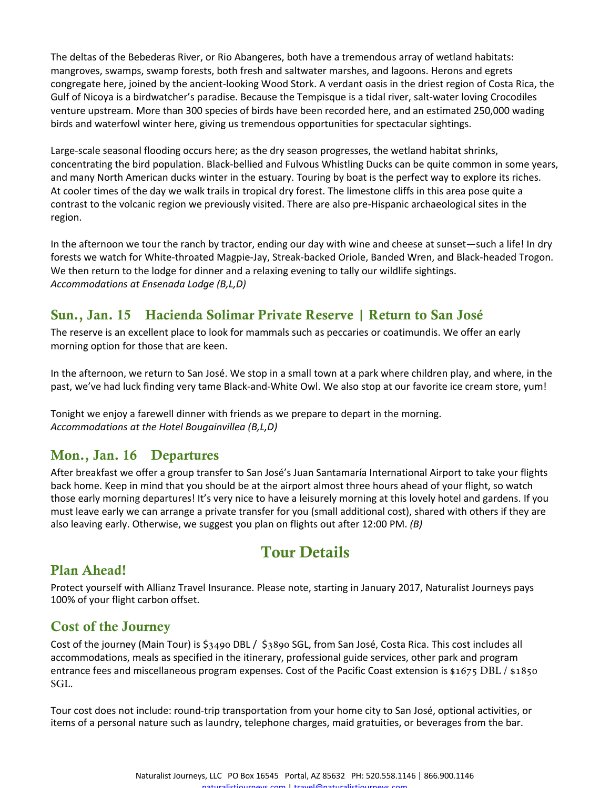The deltas of the Bebederas River, or Rio Abangeres, both have a tremendous array of wetland habitats: mangroves, swamps, swamp forests, both fresh and saltwater marshes, and lagoons. Herons and egrets congregate here, joined by the ancient-looking Wood Stork. A verdant oasis in the driest region of Costa Rica, the Gulf of Nicoya is a birdwatcher's paradise. Because the Tempisque is a tidal river, salt-water loving Crocodiles venture upstream. More than 300 species of birds have been recorded here, and an estimated 250,000 wading birds and waterfowl winter here, giving us tremendous opportunities for spectacular sightings.

Large-scale seasonal flooding occurs here; as the dry season progresses, the wetland habitat shrinks, concentrating the bird population. Black-bellied and Fulvous Whistling Ducks can be quite common in some years, and many North American ducks winter in the estuary. Touring by boat is the perfect way to explore its riches. At cooler times of the day we walk trails in tropical dry forest. The limestone cliffs in this area pose quite a contrast to the volcanic region we previously visited. There are also pre-Hispanic archaeological sites in the region.

In the afternoon we tour the ranch by tractor, ending our day with wine and cheese at sunset―such a life! In dry forests we watch for White-throated Magpie-Jay, Streak-backed Oriole, Banded Wren, and Black-headed Trogon. We then return to the lodge for dinner and a relaxing evening to tally our wildlife sightings. *Accommodations at Ensenada Lodge (B,L,D)*

#### Sun., Jan. 15 Hacienda Solimar Private Reserve | Return to San José

The reserve is an excellent place to look for mammals such as peccaries or coatimundis. We offer an early morning option for those that are keen.

In the afternoon, we return to San José. We stop in a small town at a park where children play, and where, in the past, we've had luck finding very tame Black-and-White Owl. We also stop at our favorite ice cream store, yum!

Tonight we enjoy a farewell dinner with friends as we prepare to depart in the morning. *Accommodations at the Hotel Bougainvillea (B,L,D)*

#### Mon., Jan. 16 Departures

After breakfast we offer a group transfer to San José's Juan Santamaría International Airport to take your flights back home. Keep in mind that you should be at the airport almost three hours ahead of your flight, so watch those early morning departures! It's very nice to have a leisurely morning at this lovely hotel and gardens. If you must leave early we can arrange a private transfer for you (small additional cost), shared with others if they are also leaving early. Otherwise, we suggest you plan on flights out after 12:00 PM. *(B)*

# Tour Details

#### Plan Ahead!

Protect yourself with Allianz Travel Insurance. Please note, starting in January 2017, Naturalist Journeys pays 100% of your flight carbon offset.

#### Cost of the Journey

Cost of the journey (Main Tour) is \$3490 DBL / \$3890 SGL, from San José, Costa Rica. This cost includes all accommodations, meals as specified in the itinerary, professional guide services, other park and program entrance fees and miscellaneous program expenses. Cost of the Pacific Coast extension is \$1675 DBL / \$1850 SGL.

Tour cost does not include: round-trip transportation from your home city to San José, optional activities, or items of a personal nature such as laundry, telephone charges, maid gratuities, or beverages from the bar.